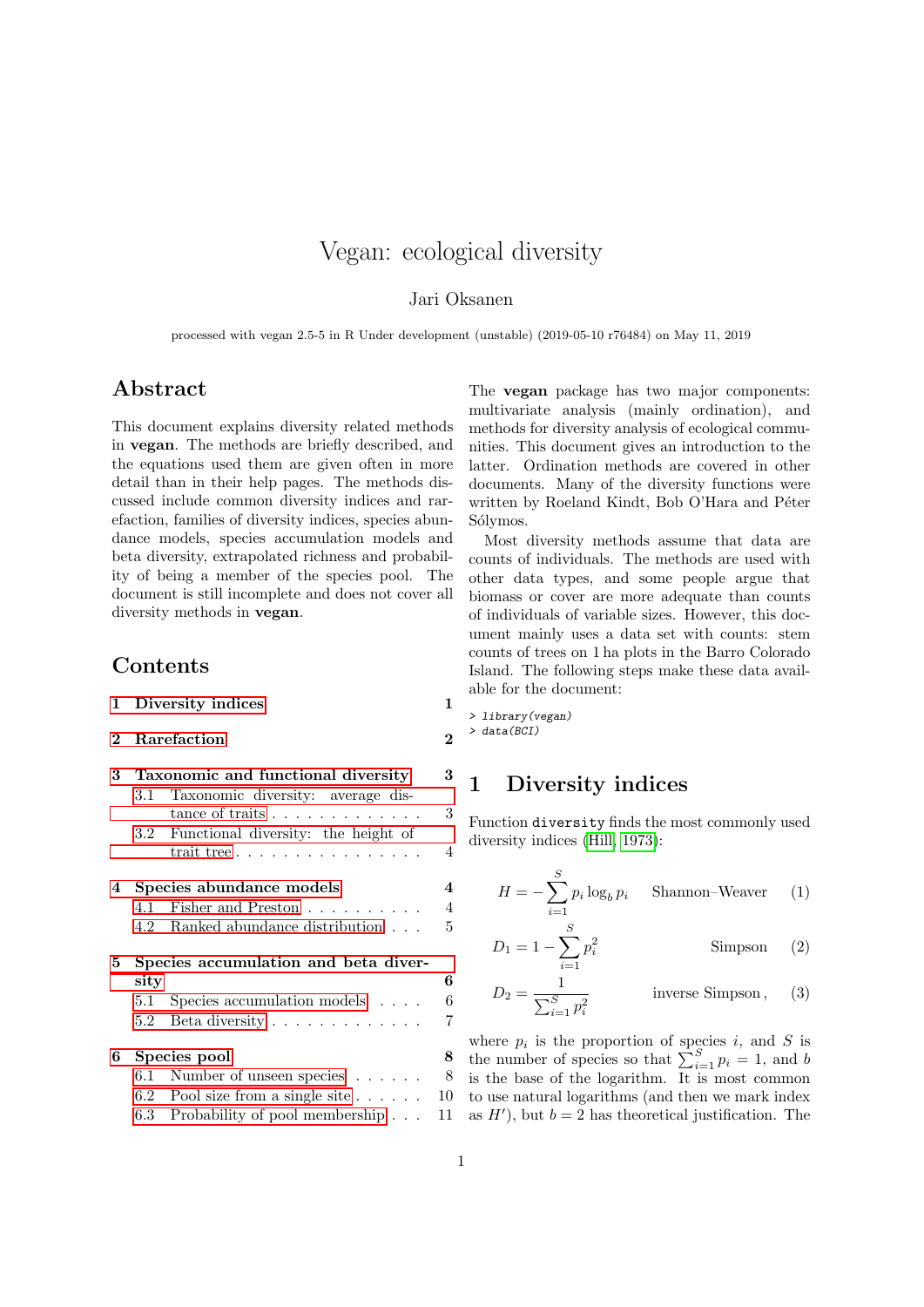# Vegan: ecological diversity

#### Jari Oksanen

processed with vegan 2.5-5 in R Under development (unstable) (2019-05-10 r76484) on May 11, 2019

## Abstract

This document explains diversity related methods in vegan. The methods are briefly described, and the equations used them are given often in more detail than in their help pages. The methods discussed include common diversity indices and rarefaction, families of diversity indices, species abundance models, species accumulation models and beta diversity, extrapolated richness and probability of being a member of the species pool. The document is still incomplete and does not cover all diversity methods in vegan.

# Contents

|  | 1 Diversity indices |  |  |
|--|---------------------|--|--|
|--|---------------------|--|--|

## [2 Rarefaction](#page-1-0) 2

| 3 | Taxonomic and functional diversity         |                                                      |  |  |
|---|--------------------------------------------|------------------------------------------------------|--|--|
|   | 3.1                                        | Taxonomic diversity: average dis-                    |  |  |
|   |                                            | 3<br>tance of traits $\ldots \ldots \ldots \ldots$   |  |  |
|   |                                            | 3.2 Functional diversity: the height of              |  |  |
|   |                                            | 4<br>trait tree $\ldots \ldots \ldots \ldots \ldots$ |  |  |
| 4 | $\overline{4}$<br>Species abundance models |                                                      |  |  |
|   | 4.1                                        | $\overline{4}$<br>Fisher and Preston                 |  |  |
|   | 4.2                                        | 5<br>Ranked abundance distribution                   |  |  |
| 5 | Species accumulation and beta diver-       |                                                      |  |  |
|   | sity                                       | 6                                                    |  |  |
|   | 5.1                                        | 6<br>Species accumulation models $\ldots$ .          |  |  |
|   | 5.2                                        | 7<br>Beta diversity $\dots \dots \dots \dots$        |  |  |
| 6 | 8<br>Species pool                          |                                                      |  |  |
|   | 6.1                                        | 8<br>Number of unseen species $\ldots \ldots$        |  |  |
|   |                                            | 10<br>6.2 Pool size from a single site $\ldots$      |  |  |
|   |                                            | 6.3 Probability of pool membership<br>11             |  |  |
|   |                                            |                                                      |  |  |

The vegan package has two major components: multivariate analysis (mainly ordination), and methods for diversity analysis of ecological communities. This document gives an introduction to the latter. Ordination methods are covered in other documents. Many of the diversity functions were written by Roeland Kindt, Bob O'Hara and Péter Sólymos.

Most diversity methods assume that data are counts of individuals. The methods are used with other data types, and some people argue that biomass or cover are more adequate than counts of individuals of variable sizes. However, this document mainly uses a data set with counts: stem counts of trees on 1 ha plots in the Barro Colorado Island. The following steps make these data available for the document:

> library(vegan) > data(BCI)

# <span id="page-0-0"></span>1 Diversity indices

Function diversity finds the most commonly used diversity indices [\(Hill, 1973\)](#page-11-0):

$$
H = -\sum_{i=1}^{S} p_i \log_b p_i
$$
 Shannon–Weaver (1)

$$
D_1 = 1 - \sum_{i=1}^{S} p_i^2
$$
 Simpson (2)

$$
D_2 = \frac{1}{\sum_{i=1}^{S} p_i^2}
$$
 inverse Simpson, (3)

where  $p_i$  is the proportion of species i, and S is the number of species so that  $\sum_{i=1}^{S} p_i = 1$ , and b is the base of the logarithm. It is most common to use natural logarithms (and then we mark index as  $H'$ , but  $b = 2$  has theoretical justification. The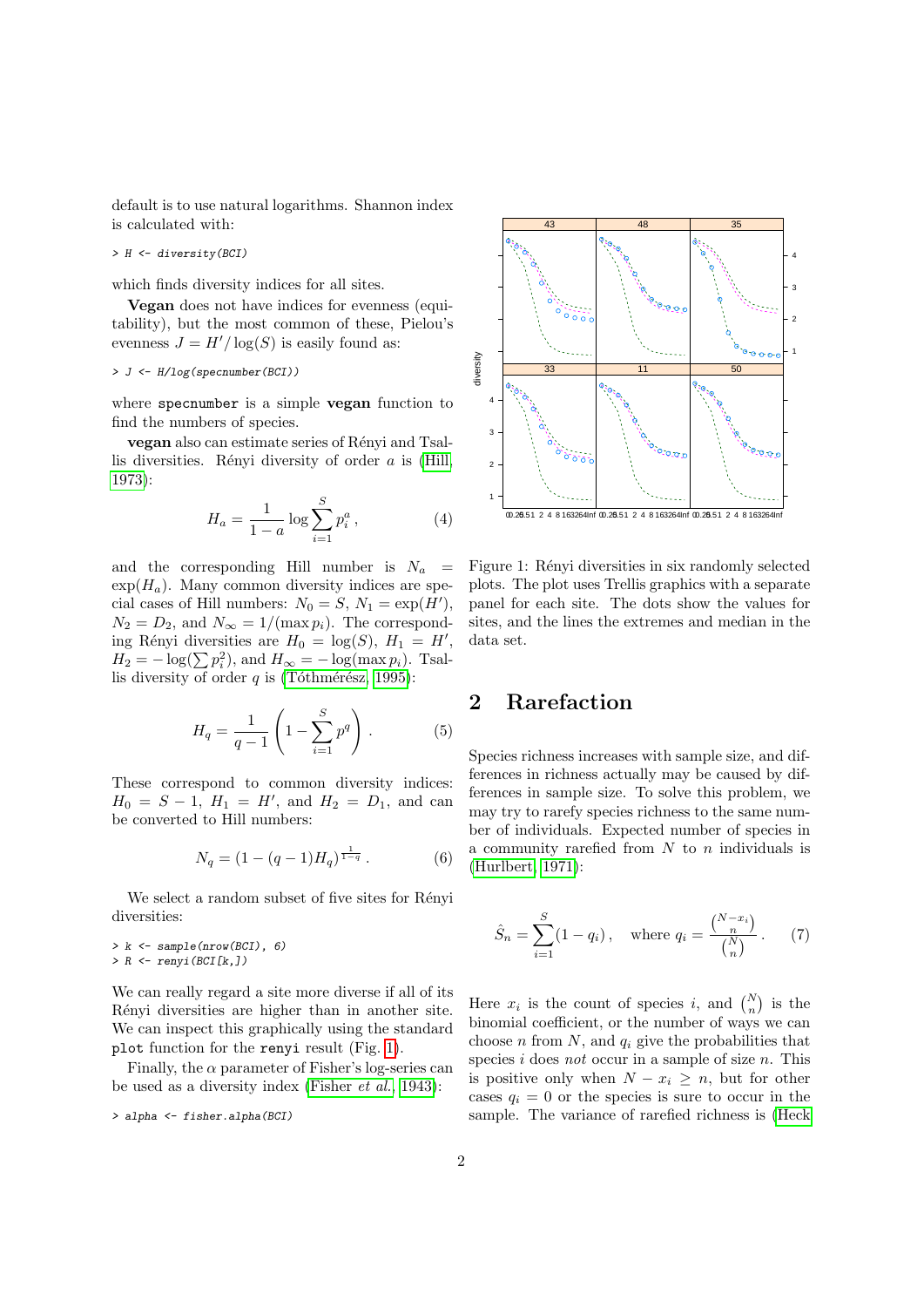default is to use natural logarithms. Shannon index is calculated with:

> H <- diversity(BCI)

which finds diversity indices for all sites.

Vegan does not have indices for evenness (equitability), but the most common of these, Pielou's evenness  $J = H'/\log(S)$  is easily found as:

#### > J <- H/log(specnumber(BCI))

where specnumber is a simple **vegan** function to find the numbers of species.

vegan also can estimate series of Rényi and Tsallis diversities. Rényi diversity of order  $a$  is [\(Hill,](#page-11-0) [1973\)](#page-11-0):

$$
H_a = \frac{1}{1-a} \log \sum_{i=1}^{S} p_i^a, \qquad (4)
$$

and the corresponding Hill number is  $N_a$  =  $\exp(H_a)$ . Many common diversity indices are special cases of Hill numbers:  $N_0 = S, N_1 = \exp(H'),$  $N_2 = D_2$ , and  $N_{\infty} = 1/(\max p_i)$ . The corresponding Rényi diversities are  $H_0 = \log(S)$ ,  $H_1 = H'$ ,  $H_2 = -\log(\sum p_i^2)$ , and  $H_{\infty} = -\log(\max p_i)$ . Tsallis diversity of order  $q$  is (Tóthmérész, 1995):

$$
H_q = \frac{1}{q-1} \left( 1 - \sum_{i=1}^{S} p^q \right) . \tag{5}
$$

These correspond to common diversity indices:  $H_0 = S - 1$ ,  $H_1 = H'$ , and  $H_2 = D_1$ , and can be converted to Hill numbers:

$$
N_q = (1 - (q - 1)H_q)^{\frac{1}{1-q}}.
$$
 (6)

We select a random subset of five sites for Rényi diversities:

 $> k \leq$  sample(nrow(BCI), 6) > R <- renyi(BCI[k,])

We can really regard a site more diverse if all of its Rényi diversities are higher than in another site. We can inspect this graphically using the standard plot function for the renyi result (Fig. [1\)](#page-1-1).

Finally, the  $\alpha$  parameter of Fisher's log-series can be used as a diversity index [\(Fisher](#page-10-1) et al., [1943\)](#page-10-1):

```
> alpha <- fisher.alpha(BCI)
```


<span id="page-1-1"></span>Figure 1: Rényi diversities in six randomly selected plots. The plot uses Trellis graphics with a separate panel for each site. The dots show the values for sites, and the lines the extremes and median in the data set.

# <span id="page-1-0"></span>2 Rarefaction

Species richness increases with sample size, and differences in richness actually may be caused by differences in sample size. To solve this problem, we may try to rarefy species richness to the same number of individuals. Expected number of species in a community rarefied from  $N$  to  $n$  individuals is [\(Hurlbert, 1971\)](#page-11-2):

<span id="page-1-2"></span>
$$
\hat{S}_n = \sum_{i=1}^{S} (1 - q_i), \text{ where } q_i = \frac{\binom{N - x_i}{n}}{\binom{N}{n}}.
$$
 (7)

Here  $x_i$  is the count of species i, and  $\binom{N}{n}$  is the binomial coefficient, or the number of ways we can choose  $n$  from  $N$ , and  $q_i$  give the probabilities that species  $i$  does not occur in a sample of size  $n$ . This is positive only when  $N - x_i \geq n$ , but for other cases  $q_i = 0$  or the species is sure to occur in the sample. The variance of rarefied richness is [\(Heck](#page-10-2)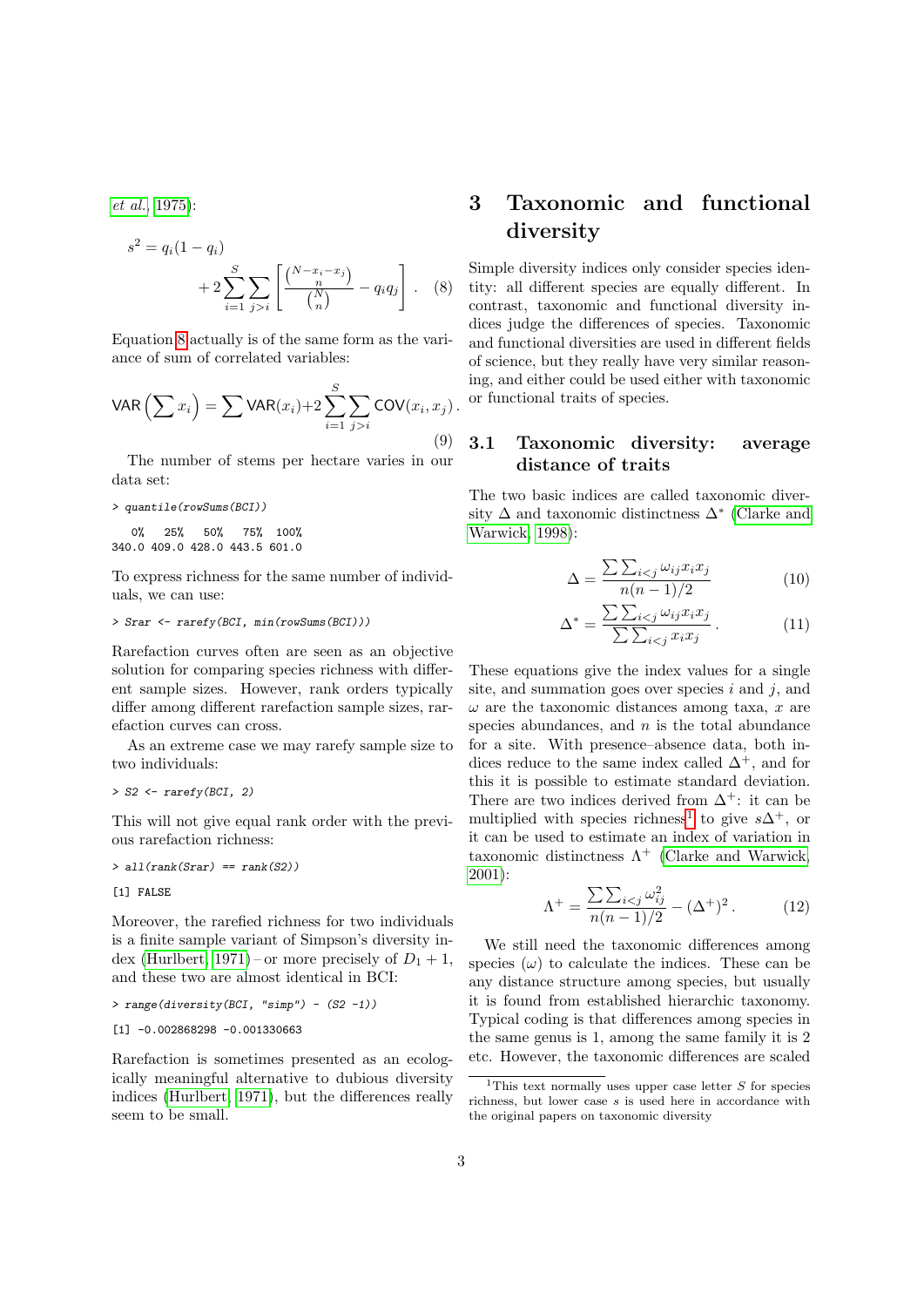[et al.](#page-10-2), [1975\)](#page-10-2):

$$
s^{2} = q_{i}(1 - q_{i}) + 2 \sum_{i=1}^{S} \sum_{j>i} \left[ \frac{\binom{N - x_{i} - x_{j}}{n}}{\binom{N}{n}} - q_{i} q_{j} \right]. \quad (8)
$$

Equation [8](#page-2-2) actually is of the same form as the variance of sum of correlated variables:

$$
\text{VAR}\left(\sum x_i\right) = \sum \text{VAR}(x_i) + 2 \sum_{i=1}^{S} \sum_{j>i} \text{COV}(x_i, x_j).
$$
\n(9)

The number of stems per hectare varies in our data set:

```
> quantile(rowSums(BCI))
```
0% 25% 50% 75% 100% 340.0 409.0 428.0 443.5 601.0

To express richness for the same number of individuals, we can use:

#### > Srar <- rarefy(BCI, min(rowSums(BCI)))

Rarefaction curves often are seen as an objective solution for comparing species richness with different sample sizes. However, rank orders typically differ among different rarefaction sample sizes, rarefaction curves can cross.

As an extreme case we may rarefy sample size to two individuals:

```
> S2 \leftarrow \text{rarefy}(BCI, 2)
```
This will not give equal rank order with the previous rarefaction richness:

 $>$  all(rank(Srar) == rank(S2))

[1] FALSE

Moreover, the rarefied richness for two individuals is a finite sample variant of Simpson's diversity in-dex [\(Hurlbert, 1971\)](#page-11-2) – or more precisely of  $D_1 + 1$ , and these two are almost identical in BCI:

> range(diversity(BCI, "simp") - (S2 -1))

```
[1] -0.002868298 -0.001330663
```
Rarefaction is sometimes presented as an ecologically meaningful alternative to dubious diversity indices [\(Hurlbert, 1971\)](#page-11-2), but the differences really seem to be small.

# <span id="page-2-0"></span>3 Taxonomic and functional diversity

<span id="page-2-2"></span>Simple diversity indices only consider species identity: all different species are equally different. In contrast, taxonomic and functional diversity indices judge the differences of species. Taxonomic and functional diversities are used in different fields of science, but they really have very similar reasoning, and either could be used either with taxonomic or functional traits of species.

## <span id="page-2-1"></span>3.1 Taxonomic diversity: average distance of traits

The two basic indices are called taxonomic diversity  $\Delta$  and taxonomic distinctness  $\Delta^*$  [\(Clarke and](#page-10-3) [Warwick, 1998\)](#page-10-3):

$$
\Delta = \frac{\sum \sum_{i < j} \omega_{ij} x_i x_j}{n(n-1)/2} \tag{10}
$$

$$
\Delta^* = \frac{\sum \sum_{i < j} \omega_{ij} x_i x_j}{\sum \sum_{i < j} x_i x_j} \,. \tag{11}
$$

These equations give the index values for a single site, and summation goes over species  $i$  and  $j$ , and  $\omega$  are the taxonomic distances among taxa, x are species abundances, and  $n$  is the total abundance for a site. With presence–absence data, both indices reduce to the same index called  $\Delta^+$ , and for this it is possible to estimate standard deviation. There are two indices derived from  $\Delta^+$ : it can be multiplied with species richness<sup>[1](#page-2-3)</sup> to give  $s\Delta^+$ , or it can be used to estimate an index of variation in taxonomic distinctness  $\Lambda^+$  [\(Clarke and Warwick,](#page-10-4) [2001\)](#page-10-4):

$$
\Lambda^{+} = \frac{\sum \sum_{i < j} \omega_{ij}^{2}}{n(n-1)/2} - (\Delta^{+})^{2} \,. \tag{12}
$$

We still need the taxonomic differences among species  $(\omega)$  to calculate the indices. These can be any distance structure among species, but usually it is found from established hierarchic taxonomy. Typical coding is that differences among species in the same genus is 1, among the same family it is 2 etc. However, the taxonomic differences are scaled

<span id="page-2-3"></span><sup>&</sup>lt;sup>1</sup>This text normally uses upper case letter  $S$  for species richness, but lower case s is used here in accordance with the original papers on taxonomic diversity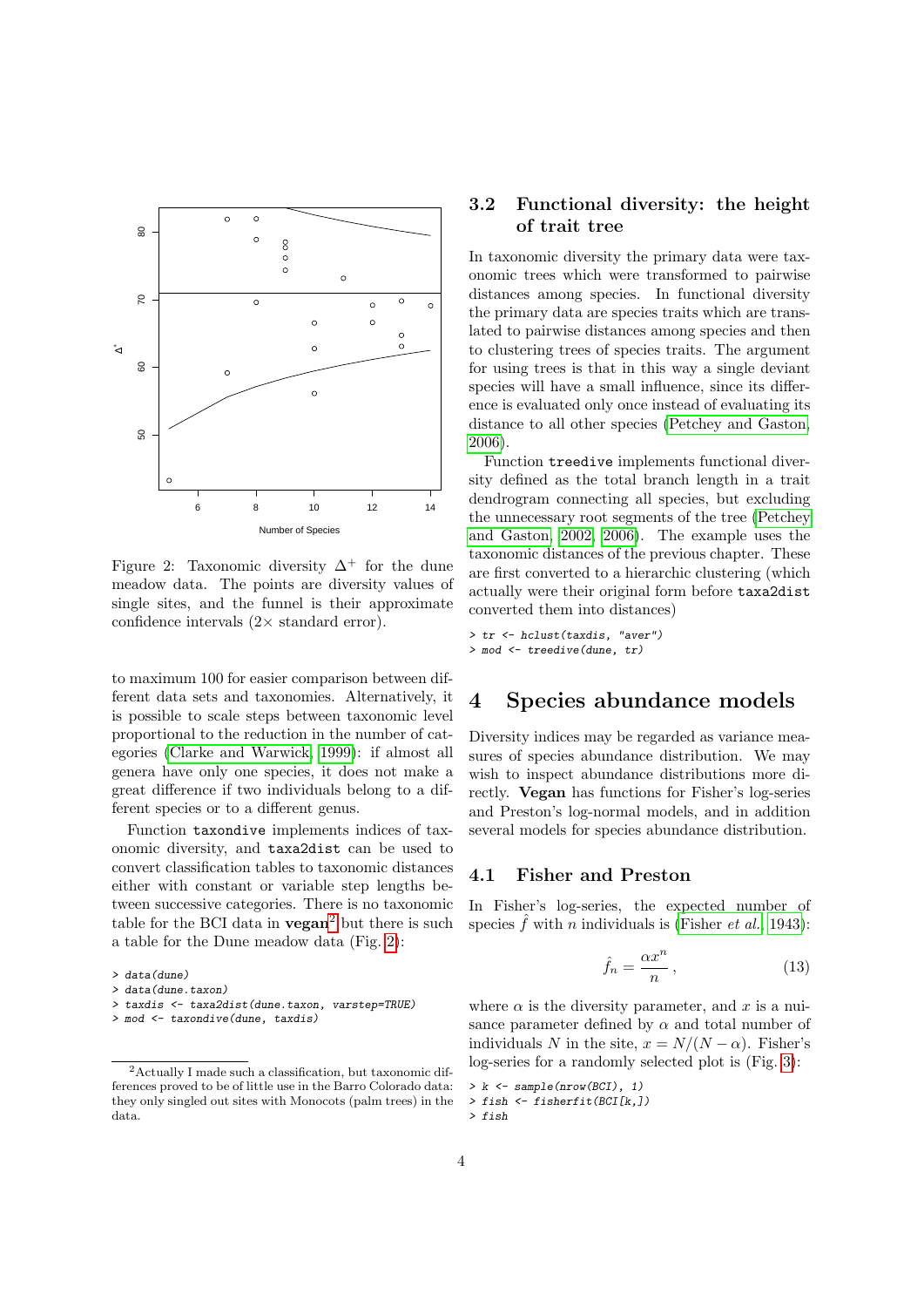

<span id="page-3-4"></span>Figure 2: Taxonomic diversity  $\Delta^+$  for the dune meadow data. The points are diversity values of single sites, and the funnel is their approximate confidence intervals  $(2 \times$  standard error).

to maximum 100 for easier comparison between different data sets and taxonomies. Alternatively, it is possible to scale steps between taxonomic level proportional to the reduction in the number of categories [\(Clarke and Warwick, 1999\)](#page-10-5): if almost all genera have only one species, it does not make a great difference if two individuals belong to a different species or to a different genus.

Function taxondive implements indices of taxonomic diversity, and taxa2dist can be used to convert classification tables to taxonomic distances either with constant or variable step lengths between successive categories. There is no taxonomic table for the BCI data in  $vegan^2$  $vegan^2$  but there is such a table for the Dune meadow data (Fig. [2\)](#page-3-4):

## <span id="page-3-0"></span>3.2 Functional diversity: the height of trait tree

In taxonomic diversity the primary data were taxonomic trees which were transformed to pairwise distances among species. In functional diversity the primary data are species traits which are translated to pairwise distances among species and then to clustering trees of species traits. The argument for using trees is that in this way a single deviant species will have a small influence, since its difference is evaluated only once instead of evaluating its distance to all other species [\(Petchey and Gaston,](#page-11-3) [2006\)](#page-11-3).

Function treedive implements functional diversity defined as the total branch length in a trait dendrogram connecting all species, but excluding the unnecessary root segments of the tree [\(Petchey](#page-11-4) [and Gaston, 2002,](#page-11-4) [2006\)](#page-11-3). The example uses the taxonomic distances of the previous chapter. These are first converted to a hierarchic clustering (which actually were their original form before taxa2dist converted them into distances)

> tr <- hclust(taxdis, "aver") > mod <- treedive(dune, tr)

# <span id="page-3-1"></span>4 Species abundance models

Diversity indices may be regarded as variance measures of species abundance distribution. We may wish to inspect abundance distributions more directly. Vegan has functions for Fisher's log-series and Preston's log-normal models, and in addition several models for species abundance distribution.

#### <span id="page-3-2"></span>4.1 Fisher and Preston

In Fisher's log-series, the expected number of species  $\hat{f}$  with *n* individuals is [\(Fisher](#page-10-1) *et al.*, [1943\)](#page-10-1):

$$
\hat{f}_n = \frac{\alpha x^n}{n},\tag{13}
$$

where  $\alpha$  is the diversity parameter, and x is a nuisance parameter defined by  $\alpha$  and total number of individuals N in the site,  $x = N/(N - \alpha)$ . Fisher's log-series for a randomly selected plot is (Fig. [3\)](#page-4-1):

```
> k \leq sample(nrow(BCI), 1)
```

```
> fish <- fisherfit(BCI[k,])
```

```
> fish
```
<sup>&</sup>gt; data(dune)

<sup>&</sup>gt; data(dune.taxon)

<sup>&</sup>gt; taxdis <- taxa2dist(dune.taxon, varstep=TRUE)

<sup>&</sup>gt; mod <- taxondive(dune, taxdis)

<span id="page-3-3"></span><sup>2</sup>Actually I made such a classification, but taxonomic differences proved to be of little use in the Barro Colorado data: they only singled out sites with Monocots (palm trees) in the data.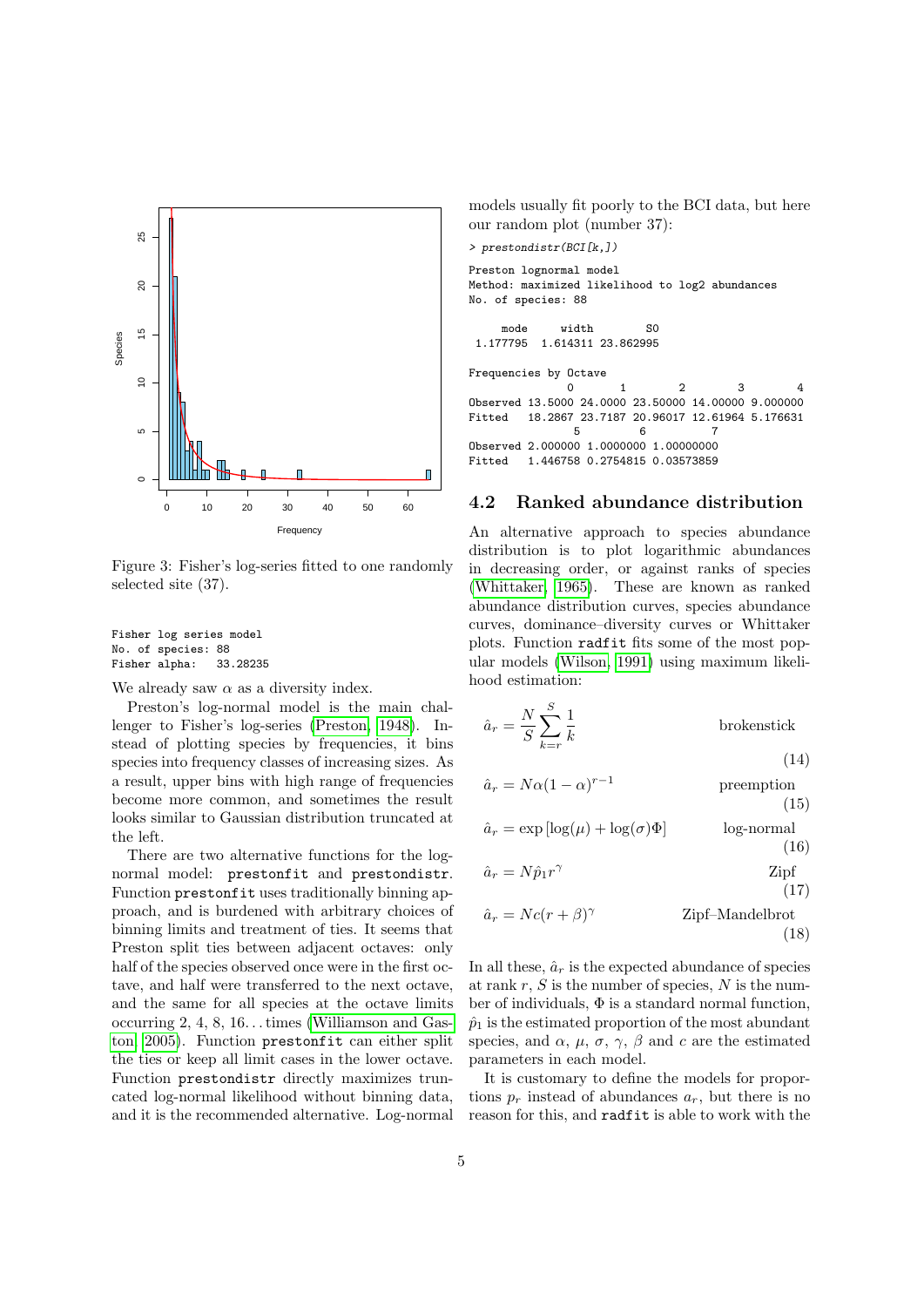

<span id="page-4-1"></span>Figure 3: Fisher's log-series fitted to one randomly selected site (37).

Fisher log series model No. of species: 88<br>Fisher alpha: 33.28235 Fisher alpha:

We already saw  $\alpha$  as a diversity index.

Preston's log-normal model is the main challenger to Fisher's log-series [\(Preston, 1948\)](#page-11-5). Instead of plotting species by frequencies, it bins species into frequency classes of increasing sizes. As a result, upper bins with high range of frequencies become more common, and sometimes the result looks similar to Gaussian distribution truncated at the left.

There are two alternative functions for the lognormal model: prestonfit and prestondistr. Function prestonfit uses traditionally binning approach, and is burdened with arbitrary choices of binning limits and treatment of ties. It seems that Preston split ties between adjacent octaves: only half of the species observed once were in the first octave, and half were transferred to the next octave, and the same for all species at the octave limits occurring 2, 4, 8, 16. . . times [\(Williamson and Gas](#page-11-6)[ton, 2005\)](#page-11-6). Function prestonfit can either split the ties or keep all limit cases in the lower octave. Function prestondistr directly maximizes truncated log-normal likelihood without binning data, and it is the recommended alternative. Log-normal models usually fit poorly to the BCI data, but here our random plot (number 37):

```
> prestondistr(BCI[k,])
```
Preston lognormal model Method: maximized likelihood to log2 abundances No. of species: 88

```
mode width S0
1.177795 1.614311 23.862995
```
Frequencies by Octave

0 1 2 3 4 Observed 13.5000 24.0000 23.50000 14.00000 9.000000 Fitted 18.2867 23.7187 20.96017 12.61964 5.176631 5 6 7 Observed 2.000000 1.0000000 1.00000000 Fitted 1.446758 0.2754815 0.03573859

### <span id="page-4-0"></span>4.2 Ranked abundance distribution

An alternative approach to species abundance distribution is to plot logarithmic abundances in decreasing order, or against ranks of species [\(Whittaker, 1965\)](#page-11-7). These are known as ranked abundance distribution curves, species abundance curves, dominance–diversity curves or Whittaker plots. Function radfit fits some of the most popular models [\(Wilson, 1991\)](#page-11-8) using maximum likelihood estimation:

$$
\hat{a}_r = \frac{N}{S} \sum_{k=r}^{S} \frac{1}{k}
$$
brokenstick (14)

$$
\hat{a}_r = N\alpha (1 - \alpha)^{r-1}
$$
 preemption  
(15)

$$
\hat{a}_r = \exp\left[\log(\mu) + \log(\sigma)\Phi\right] \qquad \qquad \text{log-normal} \tag{16}
$$

$$
\hat{a}_r = N\hat{p}_1 r^{\gamma} \tag{17}
$$

$$
\hat{a}_r = Nc(r+\beta)^\gamma
$$
 Zipf-Mandelbrot (18)

In all these,  $\hat{a}_r$  is the expected abundance of species at rank  $r, S$  is the number of species,  $N$  is the number of individuals,  $\Phi$  is a standard normal function,  $\hat{p}_1$  is the estimated proportion of the most abundant species, and  $\alpha$ ,  $\mu$ ,  $\sigma$ ,  $\gamma$ ,  $\beta$  and c are the estimated parameters in each model.

It is customary to define the models for proportions  $p_r$  instead of abundances  $a_r$ , but there is no reason for this, and radfit is able to work with the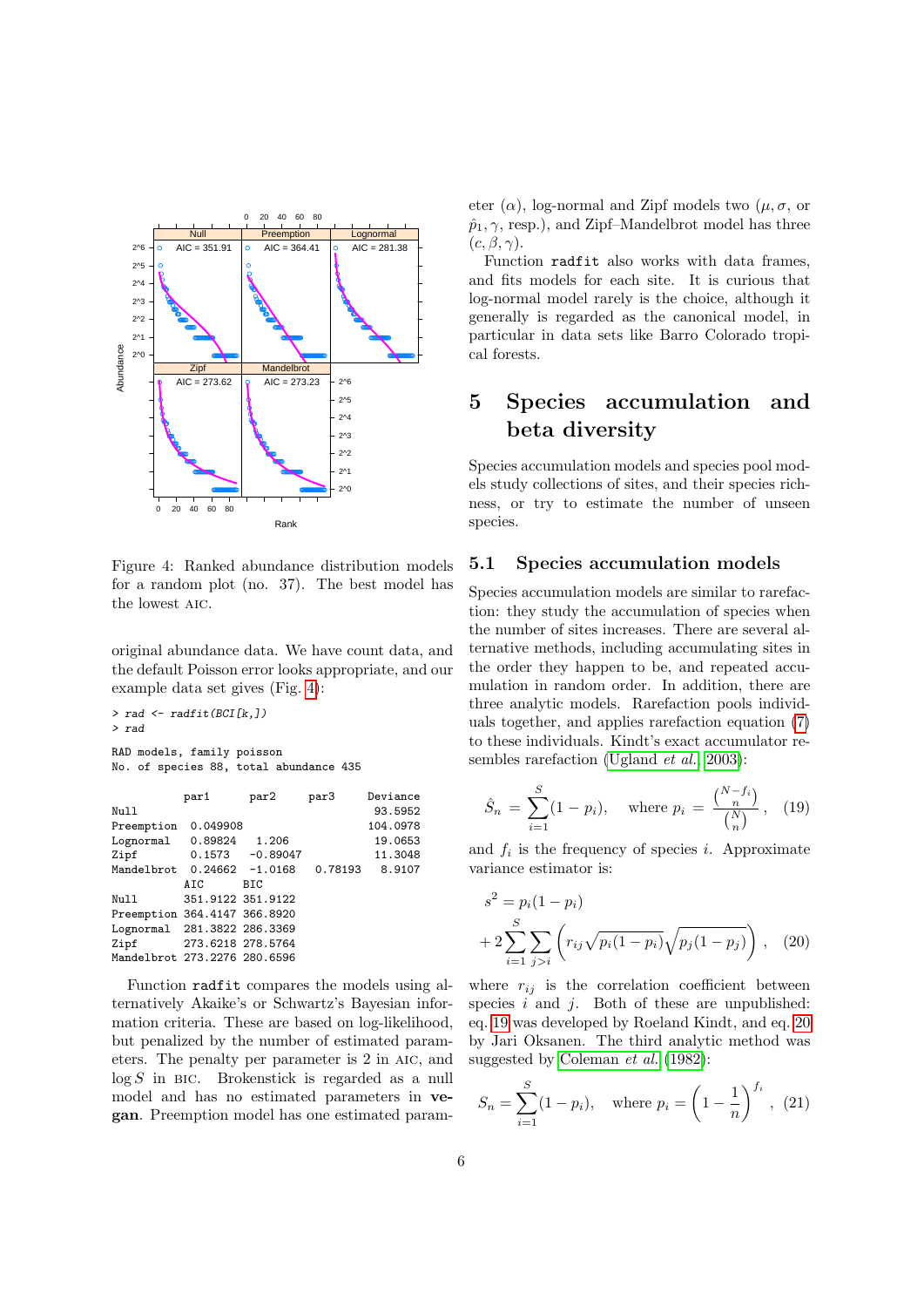

<span id="page-5-2"></span>Figure 4: Ranked abundance distribution models for a random plot (no. 37). The best model has the lowest aic.

original abundance data. We have count data, and the default Poisson error looks appropriate, and our example data set gives (Fig. [4\)](#page-5-2):

```
> rad <- radfit(BCI[k,])
> rad
RAD models, family poisson
No. of species 88, total abundance 435
```

|                              | par1              | par2               | par3    | Deviance |
|------------------------------|-------------------|--------------------|---------|----------|
| Null                         |                   |                    |         | 93.5952  |
| Preemption                   | 0.049908          |                    |         | 104.0978 |
| Lognormal 0.89824 1.206      |                   |                    |         | 19.0653  |
| Zipf                         |                   | $0.1573 - 0.89047$ |         | 11.3048  |
| Mandelbrot                   |                   | $0.24662 -1.0168$  | 0.78193 | 8.9107   |
|                              | AIC               | BIC                |         |          |
| Null                         | 351.9122 351.9122 |                    |         |          |
| Preemption 364.4147 366.8920 |                   |                    |         |          |
| Lognormal 281.3822 286.3369  |                   |                    |         |          |
| Zipf                         | 273.6218 278.5764 |                    |         |          |
| Mandelbrot 273.2276 280.6596 |                   |                    |         |          |
|                              |                   |                    |         |          |

Function radfit compares the models using alternatively Akaike's or Schwartz's Bayesian information criteria. These are based on log-likelihood, but penalized by the number of estimated parameters. The penalty per parameter is 2 in aic, and  $log S$  in BIC. Brokenstick is regarded as a null model and has no estimated parameters in vegan. Preemption model has one estimated parameter  $(\alpha)$ , log-normal and Zipf models two  $(\mu, \sigma, \sigma)$  $\hat{p}_1, \gamma$ , resp.), and Zipf–Mandelbrot model has three  $(c, \beta, \gamma).$ 

Function radfit also works with data frames, and fits models for each site. It is curious that log-normal model rarely is the choice, although it generally is regarded as the canonical model, in particular in data sets like Barro Colorado tropical forests.

# <span id="page-5-0"></span>5 Species accumulation and beta diversity

Species accumulation models and species pool models study collections of sites, and their species richness, or try to estimate the number of unseen species.

#### <span id="page-5-1"></span>5.1 Species accumulation models

Species accumulation models are similar to rarefaction: they study the accumulation of species when the number of sites increases. There are several alternative methods, including accumulating sites in the order they happen to be, and repeated accumulation in random order. In addition, there are three analytic models. Rarefaction pools individuals together, and applies rarefaction equation [\(7\)](#page-1-2) to these individuals. Kindt's exact accumulator re-sembles rarefaction [\(Ugland](#page-11-9) *et al.*, [2003\)](#page-11-9):

<span id="page-5-3"></span>
$$
\hat{S}_n = \sum_{i=1}^{S} (1 - p_i), \quad \text{where } p_i = \frac{\binom{N - f_i}{n}}{\binom{N}{n}}, \quad (19)
$$

and  $f_i$  is the frequency of species i. Approximate variance estimator is:

<span id="page-5-4"></span>
$$
s^{2} = p_{i}(1 - p_{i})
$$
  
+ 
$$
2 \sum_{i=1}^{S} \sum_{j>i} \left( r_{ij} \sqrt{p_{i}(1 - p_{i})} \sqrt{p_{j}(1 - p_{j})} \right), (20)
$$

where  $r_{ij}$  is the correlation coefficient between species  $i$  and  $j$ . Both of these are unpublished: eq. [19](#page-5-3) was developed by Roeland Kindt, and eq. [20](#page-5-4) by Jari Oksanen. The third analytic method was suggested by [Coleman](#page-10-6) et al. [\(1982\)](#page-10-6):

<span id="page-5-5"></span>
$$
S_n = \sum_{i=1}^{S} (1 - p_i), \quad \text{where } p_i = \left(1 - \frac{1}{n}\right)^{f_i}, \tag{21}
$$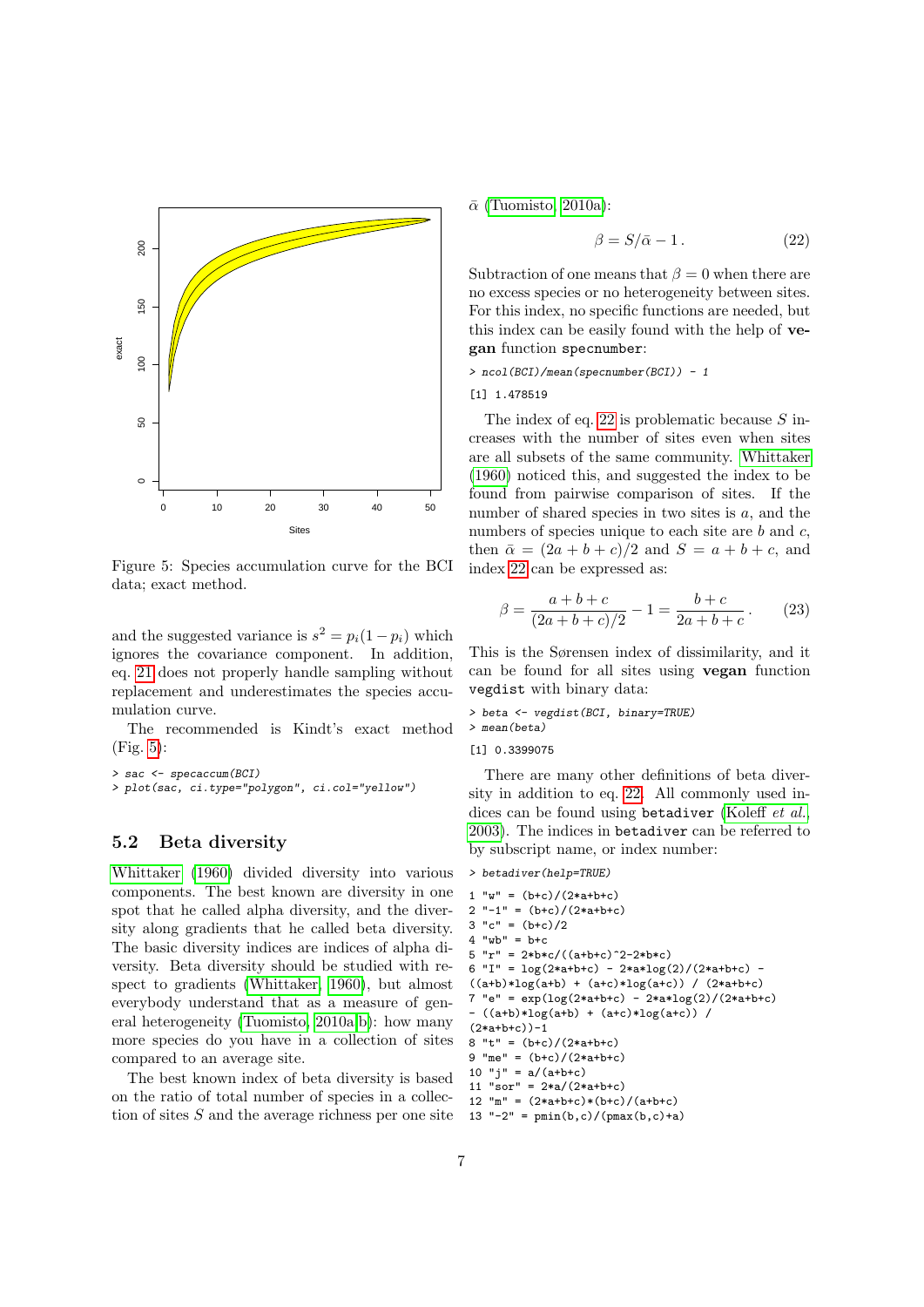

<span id="page-6-1"></span>Figure 5: Species accumulation curve for the BCI data; exact method.

and the suggested variance is  $s^2 = p_i(1-p_i)$  which ignores the covariance component. In addition, eq. [21](#page-5-5) does not properly handle sampling without replacement and underestimates the species accumulation curve.

The recommended is Kindt's exact method  $(Fig. 5):$  $(Fig. 5):$  $(Fig. 5):$ 

> sac <- specaccum(BCI)

> plot(sac, ci.type="polygon", ci.col="yellow")

### <span id="page-6-0"></span>5.2 Beta diversity

[Whittaker](#page-11-10) [\(1960\)](#page-11-10) divided diversity into various components. The best known are diversity in one spot that he called alpha diversity, and the diversity along gradients that he called beta diversity. The basic diversity indices are indices of alpha diversity. Beta diversity should be studied with respect to gradients [\(Whittaker, 1960\)](#page-11-10), but almost everybody understand that as a measure of general heterogeneity [\(Tuomisto, 2010a](#page-11-11)[,b\)](#page-11-12): how many more species do you have in a collection of sites compared to an average site.

The best known index of beta diversity is based on the ratio of total number of species in a collection of sites S and the average richness per one site  $\bar{\alpha}$  [\(Tuomisto, 2010a\)](#page-11-11):

<span id="page-6-2"></span>
$$
\beta = S/\bar{\alpha} - 1. \tag{22}
$$

Subtraction of one means that  $\beta = 0$  when there are no excess species or no heterogeneity between sites. For this index, no specific functions are needed, but this index can be easily found with the help of vegan function specnumber:

> ncol(BCI)/mean(specnumber(BCI)) - 1

[1] 1.478519

The index of eq. [22](#page-6-2) is problematic because  $S$  increases with the number of sites even when sites are all subsets of the same community. [Whittaker](#page-11-10) [\(1960\)](#page-11-10) noticed this, and suggested the index to be found from pairwise comparison of sites. If the number of shared species in two sites is  $a$ , and the numbers of species unique to each site are  $b$  and  $c$ , then  $\bar{\alpha} = (2a + b + c)/2$  and  $S = a + b + c$ , and index [22](#page-6-2) can be expressed as:

$$
\beta = \frac{a+b+c}{(2a+b+c)/2} - 1 = \frac{b+c}{2a+b+c}.
$$
 (23)

This is the Sørensen index of dissimilarity, and it can be found for all sites using vegan function vegdist with binary data:

> beta <- vegdist(BCI, binary=TRUE)

```
> mean(beta)
```
[1] 0.3399075

There are many other definitions of beta diversity in addition to eq. [22.](#page-6-2) All commonly used in-dices can be found using betadiver [\(Koleff](#page-11-13) et al., [2003\)](#page-11-13). The indices in betadiver can be referred to by subscript name, or index number:

```
> betadiver(help=TRUE)
```

```
1 "w" = (b+c)/(2*a+b+c)<br>2 "-1" = (b+c)/(2*a+b+c)"-1" = (b+c)/(2*a+b+c)
3 "c" = (b+c)/24 "wb" = b+c
5 "r" = 2*b*c/((a+b+c)^2-2*b*c)6 "I" = \log(2*atbtc) - 2*atbg(2)/(2*atbtc) -
((a+b)*log(a+b) + (a+c)*log(a+c)) / (2*a+b+c)7 "e" = \exp(\log(2*atbt-c) - 2*atbtot(2)/(2*atbtc))- ((a+b)*log(a+b) + (a+c)*log(a+c)) /
(2*a+b+c))-1
8 "t" = (b+c)/(2*a+b+c)9 "me" = (b+c)/(2*a+b+c)10 "j'' = a/(a+b+c)11 "sor" = 2*a/(2*a+b+c)12 "m" = (2*a+b+c)*(b+c)/(a+b+c)13 "-2" = pmin(b, c)/(pmax(b, c)+a)
```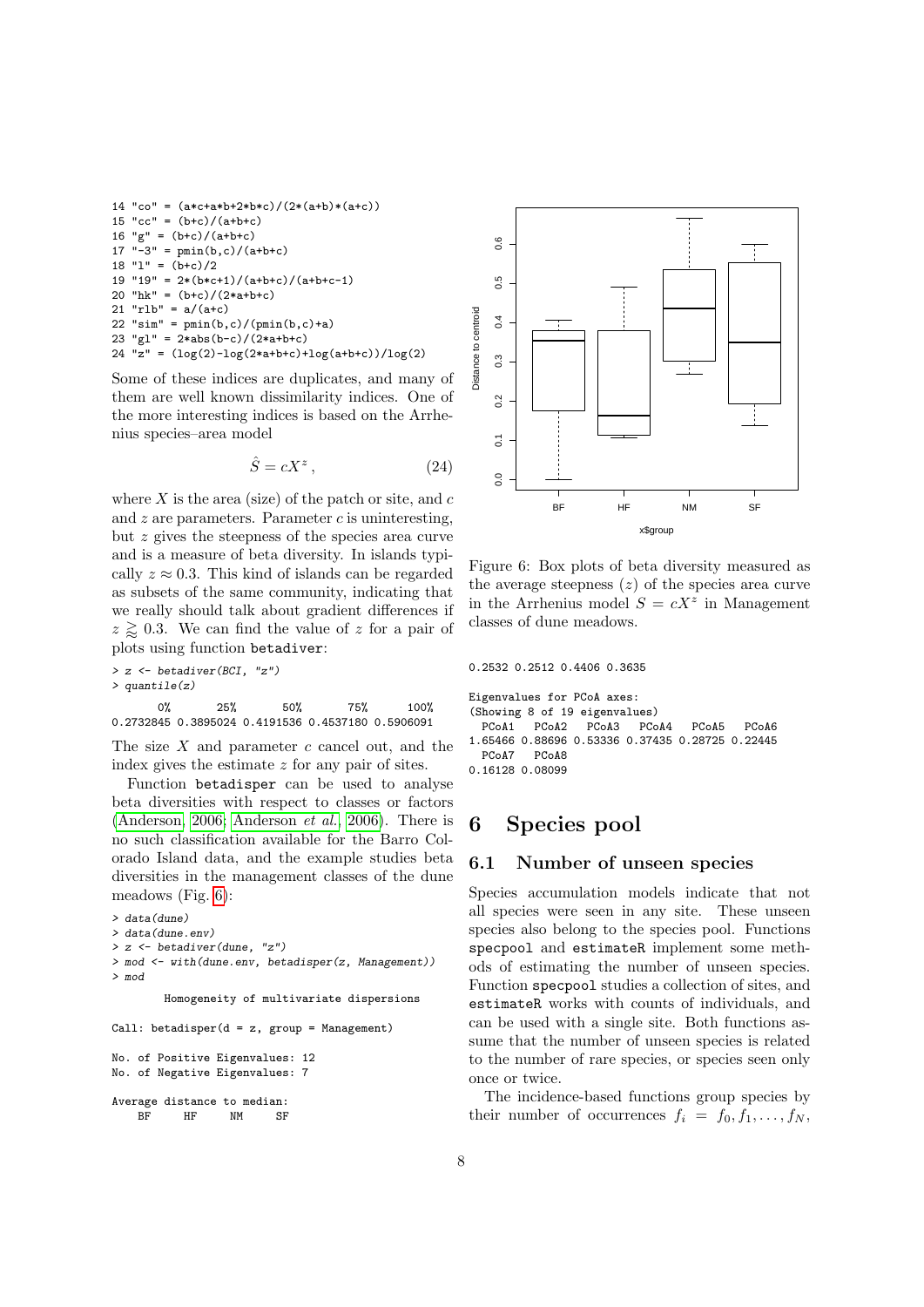```
14 "co" = (a*c+a*b+2*b*c)/(2*(a+b)*(a+c))15 "cc" = (b+c)/(a+b+c)16 "g" = (b+c)/(a+b+c)17 "-3" = pmin(b, c)/(a+b+c)18 "l" = (b+c)/219 "19" = 2*(b*c+1)/(a+b+c)/(a+b+c-1)20 "hk" = (b+c)/(2*a+b+c)21 "rlb" = a/(a+c)22 "sim" = pmin(b, c)/(pmin(b, c)+a)23 "gl" = 2*abs(b-c)/(2*a+b+c)
24 "z" = (\log(2) - \log(2 * a + b + c) + \log(a + b + c)) / \log(2)
```
Some of these indices are duplicates, and many of them are well known dissimilarity indices. One of the more interesting indices is based on the Arrhenius species–area model

$$
\hat{S} = cX^z \,,\tag{24}
$$

where  $X$  is the area (size) of the patch or site, and  $c$ and  $z$  are parameters. Parameter  $c$  is uninteresting, but z gives the steepness of the species area curve and is a measure of beta diversity. In islands typically  $z \approx 0.3$ . This kind of islands can be regarded as subsets of the same community, indicating that we really should talk about gradient differences if  $z \gtrsim 0.3$ . We can find the value of z for a pair of plots using function betadiver:

```
> z <- betadiver(BCI, "z")
> quantile(z)
      0% 25% 50% 75% 100%
0.2732845 0.3895024 0.4191536 0.4537180 0.5906091
```
The size  $X$  and parameter  $c$  cancel out, and the index gives the estimate z for any pair of sites.

Function betadisper can be used to analyse beta diversities with respect to classes or factors [\(Anderson, 2006;](#page-10-7) [Anderson](#page-10-8) et al., [2006\)](#page-10-8). There is no such classification available for the Barro Colorado Island data, and the example studies beta diversities in the management classes of the dune meadows (Fig. [6\)](#page-7-2):

```
> data(dune)
> data(dune.env)
> z < - betadiver(dune, "z")
> mod <- with(dune.env, betadisper(z, Management))
> mod
        Homogeneity of multivariate dispersions
Call: betadisper(d = z, group = Management)
No. of Positive Eigenvalues: 12
No. of Negative Eigenvalues: 7
Average distance to median:<br>BF HF NM SF
    BF HF NM SF
```


<span id="page-7-2"></span>Figure 6: Box plots of beta diversity measured as the average steepness  $(z)$  of the species area curve in the Arrhenius model  $S = cX^z$  in Management classes of dune meadows.

0.2532 0.2512 0.4406 0.3635

```
Eigenvalues for PCoA axes:
(Showing 8 of 19 eigenvalues)
 PCoA1 PCoA2 PCoA3 PCoA4 PCoA5 PCoA6
1.65466 0.88696 0.53336 0.37435 0.28725 0.22445
 PCoA7 PCoA8
0.16128 0.08099
```
# <span id="page-7-0"></span>6 Species pool

## <span id="page-7-1"></span>6.1 Number of unseen species

Species accumulation models indicate that not all species were seen in any site. These unseen species also belong to the species pool. Functions specpool and estimateR implement some methods of estimating the number of unseen species. Function specpool studies a collection of sites, and estimateR works with counts of individuals, and can be used with a single site. Both functions assume that the number of unseen species is related to the number of rare species, or species seen only once or twice.

The incidence-based functions group species by their number of occurrences  $f_i = f_0, f_1, \ldots, f_N$ ,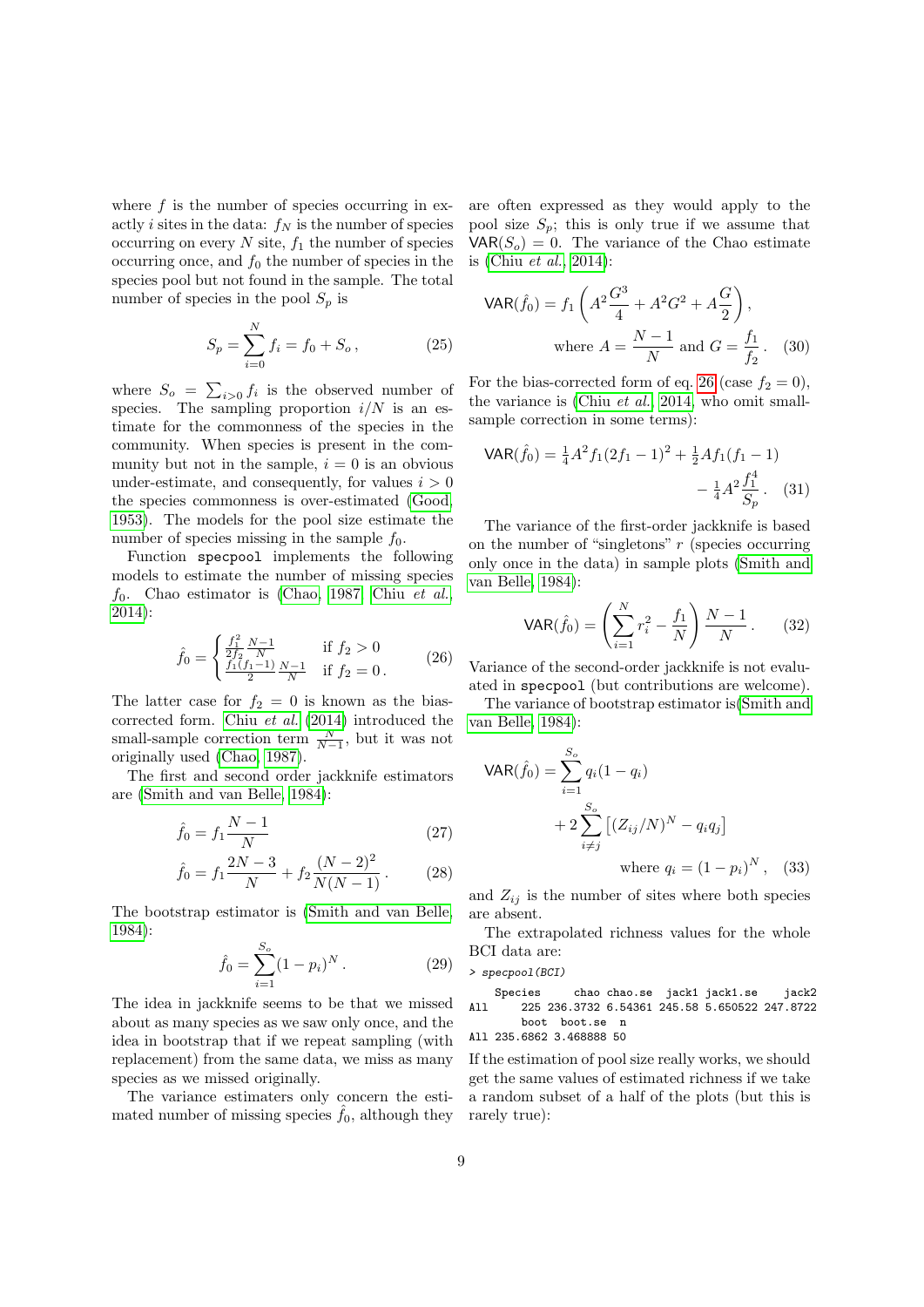where  $f$  is the number of species occurring in exactly *i* sites in the data:  $f_N$  is the number of species occurring on every  $N$  site,  $f_1$  the number of species occurring once, and  $f_0$  the number of species in the species pool but not found in the sample. The total number of species in the pool  $S_p$  is

$$
S_p = \sum_{i=0}^{N} f_i = f_0 + S_o, \qquad (25)
$$

where  $S_o = \sum_{i>0} f_i$  is the observed number of species. The sampling proportion  $i/N$  is an estimate for the commonness of the species in the community. When species is present in the community but not in the sample,  $i = 0$  is an obvious under-estimate, and consequently, for values  $i > 0$ the species commonness is over-estimated [\(Good,](#page-10-9) [1953\)](#page-10-9). The models for the pool size estimate the number of species missing in the sample  $f_0$ .

Function specpool implements the following models to estimate the number of missing species  $f_0$ . Chao estimator is [\(Chao, 1987;](#page-10-10) Chiu [et al.](#page-10-11), [2014\)](#page-10-11):

<span id="page-8-0"></span>
$$
\hat{f}_0 = \begin{cases} \frac{f_1^2}{2f_2} \frac{N-1}{N} & \text{if } f_2 > 0\\ \frac{f_1(f_1-1)}{2} \frac{N-1}{N} & \text{if } f_2 = 0 \,. \end{cases} \tag{26}
$$

The latter case for  $f_2 = 0$  is known as the biascorrected form. Chiu [et al.](#page-10-11) [\(2014\)](#page-10-11) introduced the small-sample correction term  $\frac{N}{N-1}$ , but it was not originally used [\(Chao, 1987\)](#page-10-10).

The first and second order jackknife estimators are [\(Smith and van Belle, 1984\)](#page-11-14):

$$
\hat{f}_0 = f_1 \frac{N-1}{N} \tag{27}
$$

$$
\hat{f}_0 = f_1 \frac{2N-3}{N} + f_2 \frac{(N-2)^2}{N(N-1)}.
$$
 (28)

The bootstrap estimator is [\(Smith and van Belle,](#page-11-14) [1984\)](#page-11-14):

$$
\hat{f}_0 = \sum_{i=1}^{S_o} (1 - p_i)^N.
$$
 (29)

The idea in jackknife seems to be that we missed about as many species as we saw only once, and the idea in bootstrap that if we repeat sampling (with replacement) from the same data, we miss as many species as we missed originally.

The variance estimaters only concern the estimated number of missing species  $\hat{f}_0$ , although they are often expressed as they would apply to the pool size  $S_p$ ; this is only true if we assume that  $VAR(S<sub>o</sub>) = 0$ . The variance of the Chao estimate is (Chiu [et al.](#page-10-11), [2014\)](#page-10-11):

$$
\text{VAR}(\hat{f}_0) = f_1 \left( A^2 \frac{G^3}{4} + A^2 G^2 + A \frac{G}{2} \right),
$$
\n
$$
\text{where } A = \frac{N - 1}{N} \text{ and } G = \frac{f_1}{f_2}. \quad (30)
$$

For the bias-corrected form of eq. [26](#page-8-0) (case  $f_2 = 0$ ), the variance is (Chiu [et al.](#page-10-11), [2014,](#page-10-11) who omit smallsample correction in some terms):

$$
\begin{aligned} \mathsf{VAR}(\hat{f}_0) &= \frac{1}{4} A^2 f_1 (2f_1 - 1)^2 + \frac{1}{2} A f_1 (f_1 - 1) \\ &- \frac{1}{4} A^2 \frac{f_1^4}{S_p}. \end{aligned} \tag{31}
$$

The variance of the first-order jackknife is based on the number of "singletons"  $r$  (species occurring only once in the data) in sample plots [\(Smith and](#page-11-14) [van Belle, 1984\)](#page-11-14):

$$
\text{VAR}(\hat{f}_0) = \left(\sum_{i=1}^{N} r_i^2 - \frac{f_1}{N}\right) \frac{N-1}{N} \,. \tag{32}
$$

Variance of the second-order jackknife is not evaluated in specpool (but contributions are welcome).

The variance of bootstrap estimator is[\(Smith and](#page-11-14) [van Belle, 1984\)](#page-11-14):

$$
VAR(\hat{f}_0) = \sum_{i=1}^{S_o} q_i (1 - q_i)
$$
  
+  $2 \sum_{i \neq j}^{S_o} [(Z_{ij}/N)^N - q_i q_j]$   
where  $q_i = (1 - p_i)^N$ , (33)

and  $Z_{ij}$  is the number of sites where both species are absent.

The extrapolated richness values for the whole BCI data are:

> specpool(BCI)

Species chao chao.se jack1 jack1.se jack2 All 225 236.3732 6.54361 245.58 5.650522 247.8722 boot boot.se n

All 235.6862 3.468888 50

If the estimation of pool size really works, we should get the same values of estimated richness if we take a random subset of a half of the plots (but this is rarely true):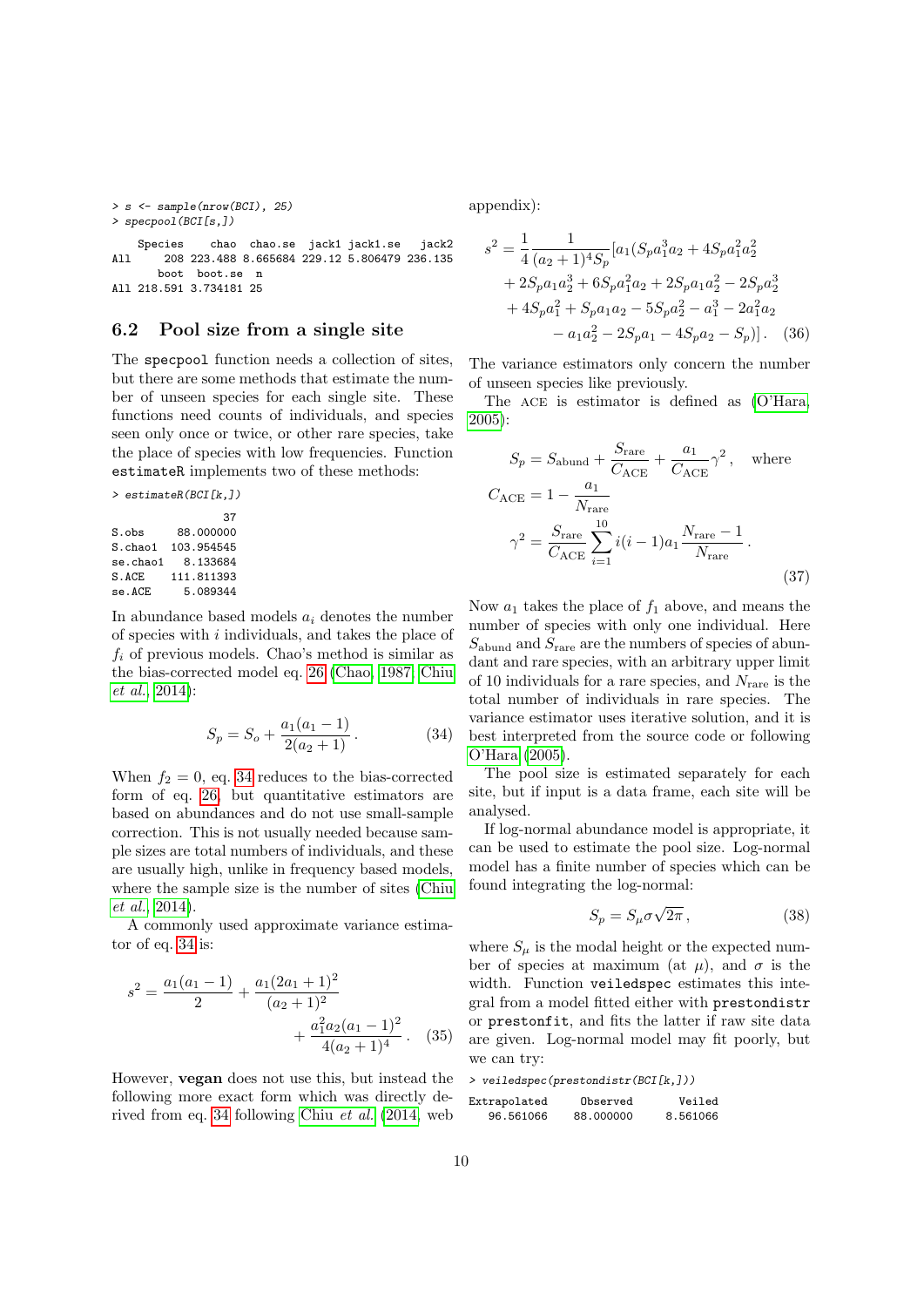> s <- sample(nrow(BCI), 25) > specpool(BCI[s,])

Species chao chao.se jack1 jack1.se jack2 All 208 223.488 8.665684 229.12 5.806479 236.135 boot boot.se n All 218.591 3.734181 25

#### <span id="page-9-0"></span>6.2 Pool size from a single site

The specpool function needs a collection of sites, but there are some methods that estimate the number of unseen species for each single site. These functions need counts of individuals, and species seen only once or twice, or other rare species, take the place of species with low frequencies. Function estimateR implements two of these methods:

```
> estimateR(BCI[k,])
                   37
S.obs 88.000000
S.chao1 103.954545
se.chao1 8.133684<br>S ACE 111 811393
         111.811393
se.ACE 5.089344
```
In abundance based models  $a_i$  denotes the number of species with  $i$  individuals, and takes the place of  $f_i$  of previous models. Chao's method is similar as the bias-corrected model eq. [26](#page-8-0) [\(Chao, 1987;](#page-10-10) [Chiu](#page-10-11) [et al.](#page-10-11), [2014\)](#page-10-11):

<span id="page-9-1"></span>
$$
S_p = S_o + \frac{a_1(a_1 - 1)}{2(a_2 + 1)}.
$$
 (34)

When  $f_2 = 0$ , eq. [34](#page-9-1) reduces to the bias-corrected form of eq. [26,](#page-8-0) but quantitative estimators are based on abundances and do not use small-sample correction. This is not usually needed because sample sizes are total numbers of individuals, and these are usually high, unlike in frequency based models, where the sample size is the number of sites [\(Chiu](#page-10-11) [et al.](#page-10-11), [2014\)](#page-10-11).

A commonly used approximate variance estimator of eq. [34](#page-9-1) is:

$$
s^{2} = \frac{a_{1}(a_{1}-1)}{2} + \frac{a_{1}(2a_{1}+1)^{2}}{(a_{2}+1)^{2}} + \frac{a_{1}^{2}a_{2}(a_{1}-1)^{2}}{4(a_{2}+1)^{4}}.
$$
 (35)

However, vegan does not use this, but instead the following more exact form which was directly derived from eq. [34](#page-9-1) following Chiu [et al.](#page-10-11) [\(2014,](#page-10-11) web

appendix):

$$
s^{2} = \frac{1}{4} \frac{1}{(a_{2} + 1)^{4} S_{p}} [a_{1} (S_{p} a_{1}^{3} a_{2} + 4 S_{p} a_{1}^{2} a_{2}^{2}+ 2 S_{p} a_{1} a_{2}^{3} + 6 S_{p} a_{1}^{2} a_{2} + 2 S_{p} a_{1} a_{2}^{2} - 2 S_{p} a_{2}^{3}+ 4 S_{p} a_{1}^{2} + S_{p} a_{1} a_{2} - 5 S_{p} a_{2}^{2} - a_{1}^{3} - 2 a_{1}^{2} a_{2}- a_{1} a_{2}^{2} - 2 S_{p} a_{1} - 4 S_{p} a_{2} - S_{p})]. (36)
$$

The variance estimators only concern the number of unseen species like previously.

The ACE is estimator is defined as  $(O'Hara,$ [2005\)](#page-11-15):

$$
S_p = S_{\text{abund}} + \frac{S_{\text{rare}}}{C_{\text{ACE}}} + \frac{a_1}{C_{\text{ACE}}} \gamma^2, \text{ where}
$$

$$
C_{\text{ACE}} = 1 - \frac{a_1}{N_{\text{rare}}}
$$

$$
\gamma^2 = \frac{S_{\text{rare}}}{C_{\text{ACE}}} \sum_{i=1}^{10} i(i-1)a_1 \frac{N_{\text{rare}} - 1}{N_{\text{rare}}}.
$$
(37)

Now  $a_1$  takes the place of  $f_1$  above, and means the number of species with only one individual. Here  $S_{\text{abund}}$  and  $S_{\text{rare}}$  are the numbers of species of abundant and rare species, with an arbitrary upper limit of 10 individuals for a rare species, and  $N<sub>rare</sub>$  is the total number of individuals in rare species. The variance estimator uses iterative solution, and it is best interpreted from the source code or following [O'Hara](#page-11-15) [\(2005\)](#page-11-15).

The pool size is estimated separately for each site, but if input is a data frame, each site will be analysed.

If log-normal abundance model is appropriate, it can be used to estimate the pool size. Log-normal model has a finite number of species which can be found integrating the log-normal:

$$
S_p = S_\mu \sigma \sqrt{2\pi} \,,\tag{38}
$$

where  $S_{\mu}$  is the modal height or the expected number of species at maximum (at  $\mu$ ), and  $\sigma$  is the width. Function veiledspec estimates this integral from a model fitted either with prestondistr or prestonfit, and fits the latter if raw site data are given. Log-normal model may fit poorly, but we can try:

> veiledspec(prestondistr(BCI[k,]))

| Extrapolated | Observed  | Veiled   |
|--------------|-----------|----------|
| 96.561066    | 88,000000 | 8.561066 |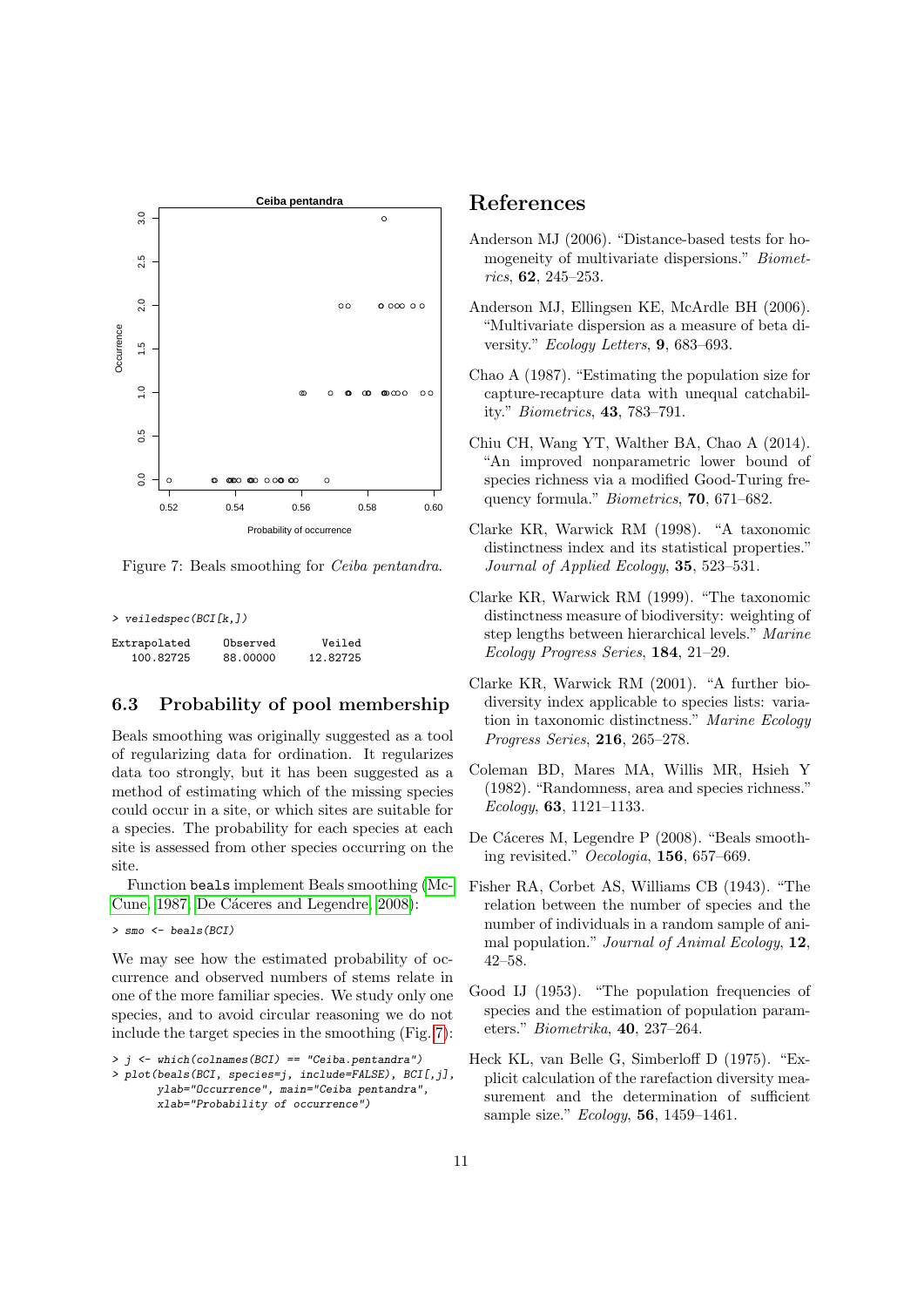

<span id="page-10-13"></span>Figure 7: Beals smoothing for Ceiba pentandra.

> veiledspec(BCI[k,])

| Extrapolated | Observed | Veiled   |
|--------------|----------|----------|
| 100.82725    | 88,00000 | 12.82725 |

### <span id="page-10-0"></span>6.3 Probability of pool membership

Beals smoothing was originally suggested as a tool of regularizing data for ordination. It regularizes data too strongly, but it has been suggested as a method of estimating which of the missing species could occur in a site, or which sites are suitable for a species. The probability for each species at each site is assessed from other species occurring on the site.

Function beals implement Beals smoothing [\(Mc-](#page-11-16)[Cune, 1987;](#page-11-16) De Cáceres and Legendre, 2008):

> smo <- beals(BCI)

We may see how the estimated probability of occurrence and observed numbers of stems relate in one of the more familiar species. We study only one species, and to avoid circular reasoning we do not include the target species in the smoothing (Fig. [7\)](#page-10-13):

 $\rightarrow$   $j$   $\leftarrow$  which(colnames(BCI) == "Ceiba.pentandra")

# References

- <span id="page-10-7"></span>Anderson MJ (2006). "Distance-based tests for homogeneity of multivariate dispersions." Biometrics, 62, 245–253.
- <span id="page-10-8"></span>Anderson MJ, Ellingsen KE, McArdle BH (2006). "Multivariate dispersion as a measure of beta diversity." Ecology Letters, 9, 683–693.
- <span id="page-10-10"></span>Chao A (1987). "Estimating the population size for capture-recapture data with unequal catchability." Biometrics, 43, 783–791.
- <span id="page-10-11"></span>Chiu CH, Wang YT, Walther BA, Chao A (2014). "An improved nonparametric lower bound of species richness via a modified Good-Turing frequency formula." Biometrics, 70, 671–682.
- <span id="page-10-3"></span>Clarke KR, Warwick RM (1998). "A taxonomic distinctness index and its statistical properties." Journal of Applied Ecology, 35, 523–531.
- <span id="page-10-5"></span>Clarke KR, Warwick RM (1999). "The taxonomic distinctness measure of biodiversity: weighting of step lengths between hierarchical levels." Marine Ecology Progress Series, 184, 21–29.
- <span id="page-10-4"></span>Clarke KR, Warwick RM (2001). "A further biodiversity index applicable to species lists: variation in taxonomic distinctness." Marine Ecology Progress Series, 216, 265–278.
- <span id="page-10-6"></span>Coleman BD, Mares MA, Willis MR, Hsieh Y (1982). "Randomness, area and species richness." Ecology, 63, 1121–1133.
- <span id="page-10-12"></span>De Cáceres M, Legendre P (2008). "Beals smoothing revisited." Oecologia, 156, 657–669.
- <span id="page-10-1"></span>Fisher RA, Corbet AS, Williams CB (1943). "The relation between the number of species and the number of individuals in a random sample of animal population." Journal of Animal Ecology, 12, 42–58.
- <span id="page-10-9"></span>Good IJ (1953). "The population frequencies of species and the estimation of population parameters." Biometrika, 40, 237–264.
- <span id="page-10-2"></span>Heck KL, van Belle G, Simberloff D (1975). "Explicit calculation of the rarefaction diversity measurement and the determination of sufficient sample size." *Ecology*, **56**, 1459–1461.

<sup>&</sup>gt; plot(beals(BCI, species=j, include=FALSE), BCI[,j], ylab="Occurrence", main="Ceiba pentandra", xlab="Probability of occurrence")